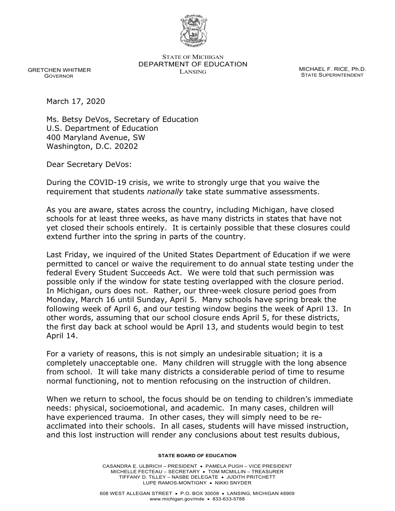

STATE OF MICHIGAN DEPARTMENT OF EDUCATION MICHAEL F. RICE, Ph.D.<br>LANSING

STATE SUPERINTENDENT

 GRETCHEN WHITMER GOVERNOR

March 17, 2020

Ms. Betsy DeVos, Secretary of Education U.S. Department of Education 400 Maryland Avenue, SW Washington, D.C. 20202

Dear Secretary DeVos:

 During the COVID-19 crisis, we write to strongly urge that you waive the requirement that students *nationally* take state summative assessments.

 As you are aware, states across the country, including Michigan, have closed schools for at least three weeks, as have many districts in states that have not yet closed their schools entirely. It is certainly possible that these closures could extend further into the spring in parts of the country.

 Last Friday, we inquired of the United States Department of Education if we were permitted to cancel or waive the requirement to do annual state testing under the federal Every Student Succeeds Act. We were told that such permission was possible only if the window for state testing overlapped with the closure period. In Michigan, ours does not. Rather, our three-week closure period goes from Monday, March 16 until Sunday, April 5. Many schools have spring break the following week of April 6, and our testing window begins the week of April 13. In other words, assuming that our school closure ends April 5, for these districts, the first day back at school would be April 13, and students would begin to test April 14.

 For a variety of reasons, this is not simply an undesirable situation; it is a completely unacceptable one. Many children will struggle with the long absence from school. It will take many districts a considerable period of time to resume normal functioning, not to mention refocusing on the instruction of children.

 When we return to school, the focus should be on tending to children's immediate needs: physical, socioemotional, and academic. In many cases, children will have experienced trauma. In other cases, they will simply need to be re- acclimated into their schools. In all cases, students will have missed instruction, and this lost instruction will render any conclusions about test results dubious,

## **STATE BOARD OF EDUCATION**

 CASANDRA E. ULBRICH – PRESIDENT • PAMELA PUGH – VICE PRESIDENT MICHELLE FECTEAU – SECRETARY • TOM MCMILLIN – TREASURER TIFFANY D. TILLEY – NASBE DELEGATE • JUDITH PRITCHETT LUPE RAMOS-MONTIGNY • NIKKI SNYDER